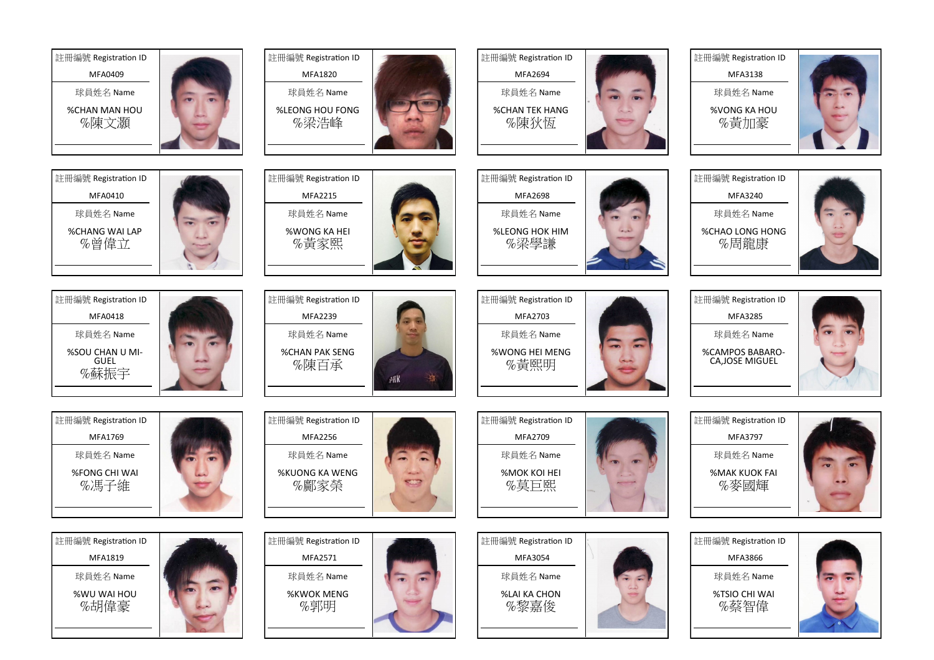